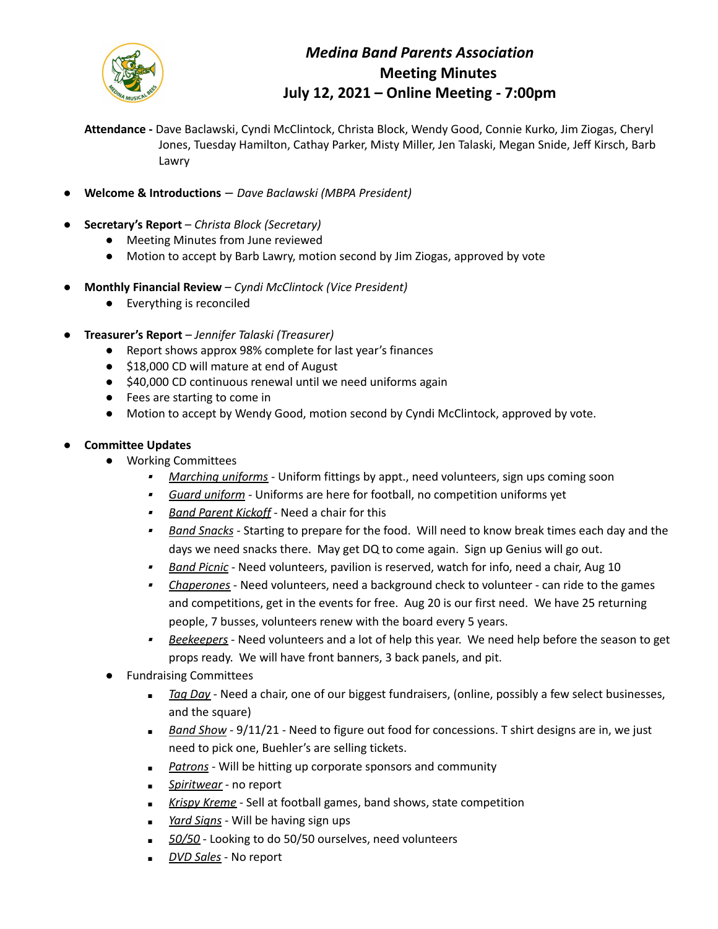

## *Medina Band Parents Association* **Meeting Minutes July 12, 2021 – Online Meeting - 7:00pm**

**Attendance -** Dave Baclawski, Cyndi McClintock, Christa Block, Wendy Good, Connie Kurko, Jim Ziogas, Cheryl Jones, Tuesday Hamilton, Cathay Parker, Misty Miller, Jen Talaski, Megan Snide, Jeff Kirsch, Barb Lawry

- **Welcome & Introductions** *Dave Baclawski (MBPA President)*
- **Secretary's Report** *Christa Block (Secretary)*
	- Meeting Minutes from June reviewed
	- Motion to accept by Barb Lawry, motion second by Jim Ziogas, approved by vote
- **Monthly Financial Review** *Cyndi McClintock (Vice President)*
	- Everything is reconciled
- **Treasurer's Report** *Jennifer Talaski (Treasurer)*
	- Report shows approx 98% complete for last year's finances
	- \$18,000 CD will mature at end of August
	- \$40,000 CD continuous renewal until we need uniforms again
	- Fees are starting to come in
	- Motion to accept by Wendy Good, motion second by Cyndi McClintock, approved by vote.
- **Committee Updates**
	- Working Committees
		- ▪*Marching uniforms* - Uniform fittings by appt., need volunteers, sign ups coming soon
		- *Guard uniform* Uniforms are here for football, no competition uniforms yet
		- ▪*Band Parent Kickoff* - Need a chair for this
		- ▪ *Band Snacks* - Starting to prepare for the food. Will need to know break times each day and the days we need snacks there. May get DQ to come again. Sign up Genius will go out.
		- ▪*Band Picnic* - Need volunteers, pavilion is reserved, watch for info, need a chair, Aug 10
		- ▪ *Chaperones* - Need volunteers, need a background check to volunteer - can ride to the games and competitions, get in the events for free. Aug 20 is our first need. We have 25 returning people, 7 busses, volunteers renew with the board every 5 years.
		- ▪ *Beekeepers* - Need volunteers and a lot of help this year. We need help before the season to get props ready. We will have front banners, 3 back panels, and pit.
	- **Fundraising Committees** 
		- *■ Tag Day* Need a chair, one of our biggest fundraisers, (online, possibly a few select businesses, and the square)
		- *■ Band Show* 9/11/21 Need to figure out food for concessions. T shirt designs are in, we just need to pick one, Buehler's are selling tickets.
		- **Patrons** Will be hitting up corporate sponsors and community
		- *■ Spiritwear* no report
		- *■ Krispy Kreme* Sell at football games, band shows, state competition
		- *■ Yard Signs* Will be having sign ups
		- 50/50 Looking to do 50/50 ourselves, need volunteers
		- *■ DVD Sales* No report